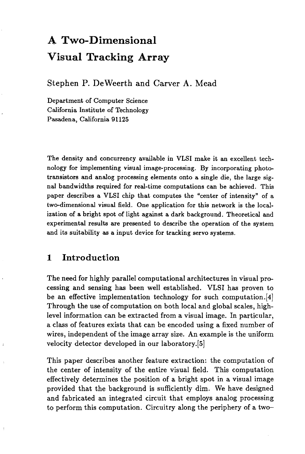# **A Two-Dimensional Visual Tracking Array**

Stephen P. De Weerth and Carver A. Mead

Department of Computer Science California Institute of Technology Pasadena, California 91125

The density and concurrency available in VLSI make it an excellent technology for implementing visual image-processing. By incorporating phototransistors and analog processing elements onto a single die, the large signal bandwidths required for real-time computations can be achieved. This paper describes a VLSI chip that computes the "center of intensity" of a two-dimensional visual field. One application for this network is the localization of a bright spot of light against a dark background. Theoretical and experimental results are presented to describe the operation of the system and its suitability as a input device for tracking servo systems.

## **1 Introduction**

The need for highly parallel computational architectures in visual processing and sensing has been well established. VLSI has proven to be an effective implementation technology for such computation.[4] Through the use of computation on both local and global scales, highlevel information can be extracted from a visual image. In particular, a class of features exists that can be encoded using a fixed number of wires, independent of the image array size. An example is the uniform velocity detector developed in our laboratory.[5]

This paper describes another feature extraction: the computation of the center of intensity of the entire visual field. This computation effectively determines the position of a bright spot in a visual image provided that the background is sufficiently dim. We have designed and fabricated an integrated circuit that employs analog processing to perform this computation. Circuitry along the periphery of a two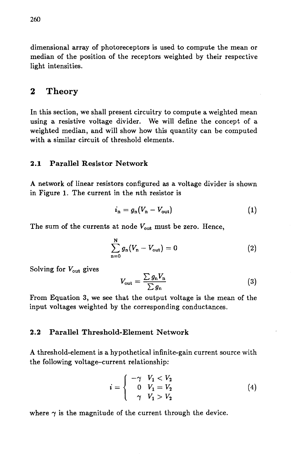dimensional array of photoreceptors is used to compute the mean or median of the position of the receptors weighted by their respective light intensities.

## 2 Theory

In this section, we shall present circuitry to compute a weighted mean using a resistive voltage divider. We will define the concept of a weighted median, and will show how this quantity can be computed with a similar circuit of threshold elements.

#### 2.1 Parallel Resistor Network

A network of linear resistors configured as a voltage divider is shown in Figure 1. The current in the nth resistor is

$$
i_{\rm n} = g_{\rm n}(V_{\rm n} - V_{\rm out}) \tag{1}
$$

The sum of the currents at node  $V_{\text{out}}$  must be zero. Hence,

$$
\sum_{n=0}^{N} g_n (V_n - V_{\text{out}}) = 0
$$
 (2)

Solving for  $V_{\text{out}}$  gives

$$
V_{\text{out}} = \frac{\sum g_{\text{n}} V_{\text{n}}}{\sum g_{\text{n}}} \tag{3}
$$

From Equation 3, we see that the output voltage is the mean of the input voltages weighted by the corresponding conductances.

#### 2.2 Parallel Threshold-Element Network

A threshold-element is a hypothetical infinite-gain current source with the following voltage-current relationship:

$$
i = \begin{cases} -\gamma & V_1 < V_2 \\ 0 & V_1 = V_2 \\ \gamma & V_1 > V_2 \end{cases}
$$
 (4)

where  $\gamma$  is the magnitude of the current through the device.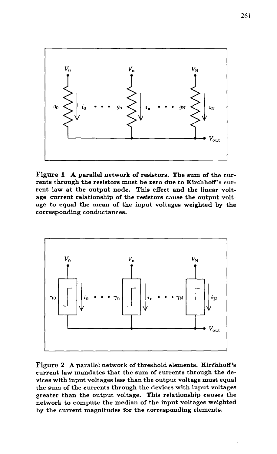

Figure 1 A parallel network of resistors. The sum of the currents through the resistors must be zero due to Kirchhoff's current law at the output node. This effect and the linear voltage-current relationship of the resistors cause the output voltage to equal the mean of the input voltages weighted by the corresponding conductances.



Figure 2 A parallel network of threshold elements. Kirchhoff's current law mandates that the sum of currents through the devices with input voltages less than the output voltage must equal the sum of the currents through the devices with input voltages greater than the output voltage. This relationship causes the network to compute the median of the input voltages weighted by the current magnitudes for the corresponding elements.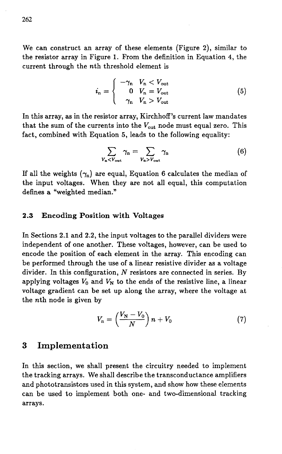We can construct an array of these elements (Figure 2), similar to the resistor array in Figure 1. From the definition in Equation 4, the current through the nth threshold element is

$$
i_{\rm n} = \begin{cases} -\gamma_{\rm n} & V_{\rm n} < V_{\rm out} \\ 0 & V_{\rm n} = V_{\rm out} \\ \gamma_{\rm n} & V_{\rm n} > V_{\rm out} \end{cases} \tag{5}
$$

In this array, as in the resistor array, Kirchhoff's current law mandates that the sum of the currents into the  $V_{\text{out}}$  node must equal zero. This fact, combined with Equation 5, leads to the following equality:

$$
\sum_{V_{\rm n} < V_{\rm out}} \gamma_{\rm n} = \sum_{V_{\rm n} > V_{\rm out}} \gamma_{\rm n} \tag{6}
$$

If all the weights  $(\gamma_n)$  are equal, Equation 6 calculates the median of the input voltages. When they are not all equal, this computation defines a "weighted median."

#### 2.3 Encoding Position with Voltages

In Sections 2.1 and 2.2, the input voltages to the parallel dividers were independent of one another. These voltages, however, can be used to encode the position of each element in the array. This encoding can be performed through the use of a linear resistive divider as a voltage divider. In this configuration, *N* resistors are connected in series. By applying voltages  $V_0$  and  $V_N$  to the ends of the resistive line, a linear voltage gradient can be set up along the array, where the voltage at the nth node is given by

$$
V_{\rm n} = \left(\frac{V_{\rm N} - V_0}{N}\right) n + V_0 \tag{7}
$$

#### 3 Implementation

In this section, we shall present the circuitry needed to implement the tracking arrays. We shall describe the transconductance amplifiers and phototransistors used in this system, and show how these elements can be used to implement both one- and two-dimensional tracking arrays.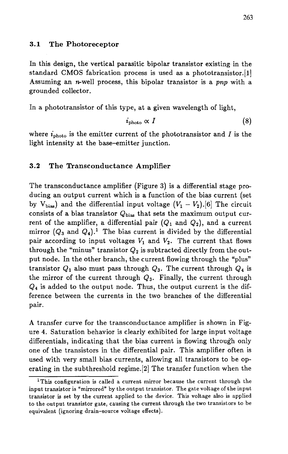#### **3.1 The Photoreceptor**

In this design, the vertical parasitic bipolar transistor existing in the standard CMOS fabrication process is used as a phototransistor.[1] Assuming an *n*-well process, this bipolar transistor is a *pnp* with a grounded collector.

In a phototransistor of this type, at a given wavelength of light,

$$
i_{\rm photo} \propto I \tag{8}
$$

where  $i_{\text{photo}}$  is the emitter current of the phototransistor and I is the light intensity at the base-emitter junction.

#### **3.2 The Transconductance Amplifier**

The transconductance amplifier (Figure 3) is a differential stage producing an output current which is a function of the bias current (set by  $V_{bias}$  and the differential input voltage  $(V_1 - V_2)$ .[6] The circuit consists of a bias transistor  $Q_{bias}$  that sets the maximum output current of the amplifier, a differential pair  $(Q_1$  and  $Q_2)$ , and a current mirror  $(Q_3$  and  $Q_4$ ).<sup>1</sup> The bias current is divided by the differential pair according to input voltages  $V_1$  and  $V_2$ . The current that flows through the "minus" transistor  $Q_2$  is subtracted directly from the output node. In the other branch, the current flowing through the "plus" transistor  $Q_1$  also must pass through  $Q_3$ . The current through  $Q_4$  is the mirror of the current through  $Q_3$ . Finally, the current through *Q*4 is added to the output node. Thus, the output current is the difference between the currents in the two branches of the differential pair.

A transfer curve for the transconductance amplifier is shown in Figure 4. Saturation behavior is clearly exhibited for large input voltage differentials, indicating that the bias current is flowing through only one of the transistors in the differential pair. This amplifier often is used with very small bias currents, allowing all transistors to be operating in the subthreshold regime.[2] The transfer function when the

<sup>&</sup>lt;sup>1</sup>This configuration is called a current mirror because the current through the input transistor is "mirrored" by the output transistor. The gate voltage of the input transistor is set by the current applied to the device. This voltage also is applied to the output transistor gate, causing the current through the two transistors to be equivalent (ignoring drain-source voltage effects).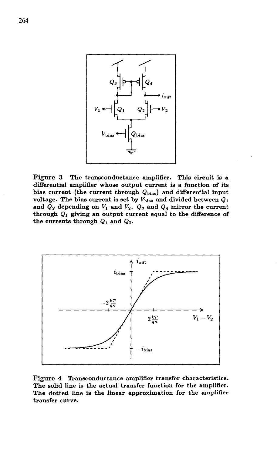

Figure 3 The transconductance amplifier. This circuit is a differential amplifier whose output current is a function of its bias current (the current through  $Q_{bias}$ ) and differential input voltage. The bias current is set by  $V_{bias}$  and divided between  $Q_1$ and  $Q_2$  depending on  $V_1$  and  $V_2$ .  $Q_3$  and  $Q_4$  mirror the current through *Qi* giving an output current equal to the difference of the currents through  $Q_1$  and  $Q_2$ .



Figure 4 Transconductance amplifier transfer characteristics. The solid line is the actual transfer function for the amplifier. The dotted line is the linear approximation for the amplifier transfer curve.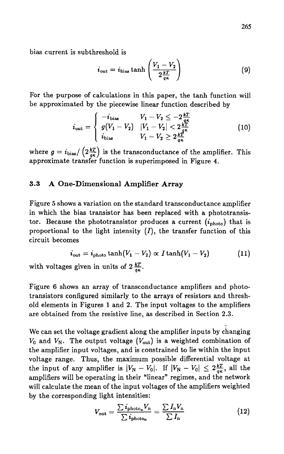bias current is subthreshold is

$$
i_{\text{out}} = i_{\text{bias}} \tanh\left(\frac{V_1 - V_2}{2\frac{kT}{q\kappa}}\right) \tag{9}
$$

For the purpose of calculations in this paper, the tanh function will be approximated by the piecewise linear function described by

$$
i_{\text{out}} = \begin{cases} -i_{\text{bias}} & V_1 - V_2 \leq -2\frac{kT}{q\kappa} \\ g(V_1 - V_2) & |V_1 - V_2| < 2\frac{kT}{q\kappa} \\ i_{\text{bias}} & V_1 - V_2 \geq 2\frac{kT}{q\kappa} \end{cases} \tag{10}
$$

where  $g = i_{\text{bias}} / \left( 2 \frac{kT}{q\kappa} \right)$  is the transconductance of the amplifier. This approximate transfer function is superimposed in Figure  $\overline{4}$ .

#### **3.3 A One-Dimensional Amplifier Array**

Figure 5 shows a variation on the standard transconductance amplifier in which the bias transistor has been replaced with a phototransistor. Because the phototransistor produces a current  $(i_{\text{photo}})$  that is proportional to the light intensity  $(I)$ , the transfer function of this circuit becomes

$$
i_{\text{out}} = i_{\text{photo}} \tanh(V_1 - V_2) \propto I \tanh(V_1 - V_2) \tag{11}
$$

with voltages given in units of  $2 \frac{kT}{q\kappa}$ .

Figure 6 shows an array of transconductance amplifiers and phototransistors configured similarly to the arrays of resistors and threshold elements in Figures 1 and 2. The input voltages to the amplifiers are obtained from the resistive line, as described in Section 2.3.

We can set the voltage gradient along the amplifier inputs by changing  $V_0$  and  $V_N$ . The output voltage  $(V_{\text{out}})$  is a weighted combination of the amplifier input voltages, and is constrained to lie within the input voltage range. Thus, the maximum possible differential voltage at the input of any amplifier is  $|V_N - V_0|$ . If  $|V_N - V_0| \leq 2\frac{kT}{q\kappa}$ , all the amplifiers will be operating in their "linear" regimes, and the network will calculate the mean of the input voltages of the amplifiers weighted by the corresponding light intensities:

$$
V_{\text{out}} = \frac{\sum i_{\text{photo}_n} V_n}{\sum i_{\text{photo}_n}} = \frac{\sum I_n V_n}{\sum I_n}
$$
(12)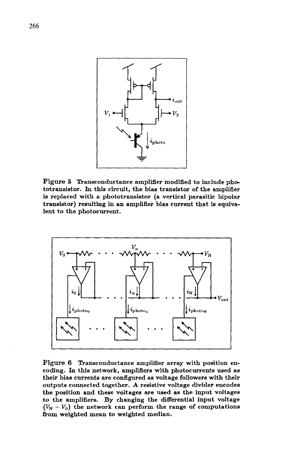

Figure 5 Transconductance amplifier modified to include phototransistor. In this circuit, the bias transistor of the amplifier is replaced with a phototransistor (a vertical parasitic bipolar transistor) resulting in an amplifier bias current that is equivalent to the photocurrent.



Figure 6 Transconductance amplifier array with position encoding. In this network, amplifiers with photocurrents used as their bias currents are configured as voltage followers with their outputs connected together. A resistive voltage divider encodes the position and these voltages are used as the input voltages to the amplifiers. By changing the differential input voltage  $(V_N - V_0)$  the network can perform the range of computations from weighted mean to weighted median.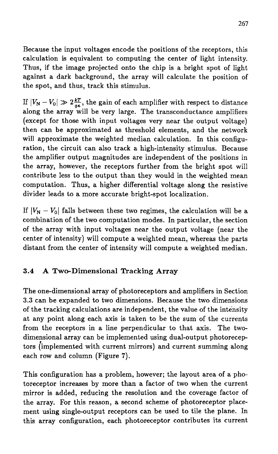Because the input voltages encode the positions of the receptors, this calculation is equivalent to computing the center of light intensity. Thus, if the image projected onto the chip is a bright spot of light against a dark background, the array will calculate the position of the spot, and thus, track this stimulus.

If  $|V_N - V_0| \gg 2\frac{kT}{g\kappa}$ , the gain of each amplifier with respect to distance along the array will be very large. The transconductance amplifiers (except for those with input voltages very near the output voltage) then can be approximated as threshold elements, and the network will approximate the weighted median calculation. In this configuration, the circuit can also track a high-intensity stimulus. Because the amplifier output magnitudes are independent of the positions in the array, however, the receptors further from the bright spot will contribute less to the output than they would in the weighted mean computation. Thus, a higher differential voltage along the resistive divider leads to a more accurate bright-spot localization.

If  $|V_N - V_0|$  falls between these two regimes, the calculation will be a combination of the two computation modes. In particular, the section of the array with input voltages near the output voltage (near the center of intensity) will compute a weighted mean, whereas the parts distant from the center of intensity will compute a weighted median.

### **3.4 A Two-Dimensional Tracking Array**

The one-dimensional array of photoreceptors and amplifiers in Section 3.3 can be expanded to two dimensions. Because the two dimensions of the tracking calculations are independent, the value of the intensity at any point along each axis is taken to be the sum of the currents from the receptors in a line perpendicular to that axis. The twodimensional array can be implemented using dual-output photoreceptors (implemented with current mirrors) and current summing along each row and column (Figure 7).

This configuration has a problem, however; the layout area of a photoreceptor increases by more than a factor of two when the current mirror is added, reducing the resolution and the coverage factor of the array. For this reason, a second scheme of photoreceptor placement using single-output receptors can be used to tile the plane. In this array configuration, each photoreceptor contributes its current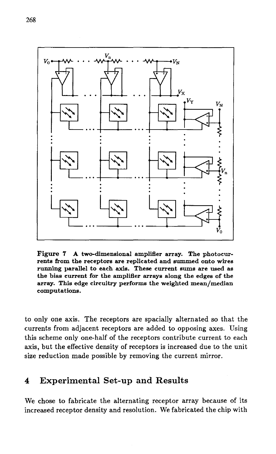

Figure 7 A two-dimensional amplifier array. The photocurrents from the receptors are replicated and summed onto wires running parallel to each axis. These current sums are used as the bias current for the amplifier arrays along the edges of the array. This edge circuitry performs the weighted mean/median computations.

to only one axis. The receptors are spacially alternated so that the currents from adjacent receptors are added to opposing axes. Using this scheme only one-half of the receptors contribute current to each axis, but the effective density of receptors is increased due to the unit size reduction made possible by removing the current mirror.

# 4 Experimental Set-up and Results

We chose to fabricate the alternating receptor array because of its increased receptor density and resolution. We fabricated the chip with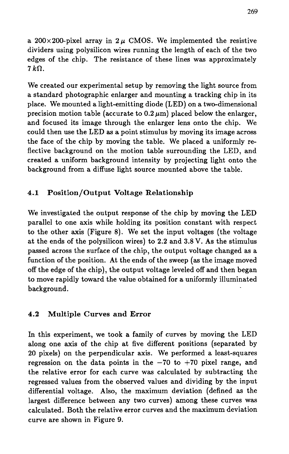a 200 $\times$ 200-pixel array in 2 $\mu$  CMOS. We implemented the resistive dividers using polysilicon wires running the length of each of the two edges of the chip. The resistance of these lines was approximately  $7k\Omega$ .

We created our experimental setup by removing the light source from a standard photographic enlarger and mounting a tracking chip in its place. We mounted a light-emitting diode (LED) on a two-dimensional precision motion table (accurate to  $0.2 \mu m$ ) placed below the enlarger, and focused its image through the enlarger lens onto the chip. We could then use the LED as a point stimulus by moving its image across the face of the chip by moving the table. We placed a uniformly reflective background on the motion table surrounding the LED, and created a uniform background intensity by projecting light onto the background from a diffuse light source mounted above the table.

## 4.1 Position/Output Voltage Relationship

We investigated the output response of the chip by moving the LED parallel to one axis while holding its position constant with respect to the other axis (Figure 8). We set the input voltages (the voltage at the ends of the polysilicon wires) to 2.2 and 3.8 V. As the stimulus passed across the surface of the chip, the output voltage changed as a function of the position. At the ends of the sweep (as the image moved off the edge of the chip), the output voltage leveled off and then began to move rapidly toward the value obtained for a uniformly illuminated background.

#### 4.2 Multiple Curves and Error

In this experiment, we took a family of curves by moving the LED along one axis of the chip at five different positions (separated by 20 pixels) on the perpendicular axis. We performed a least-squares regression on the data points in the  $-70$  to  $+70$  pixel range, and the relative error for each curve was calculated by subtracting the regressed values from the observed values and dividing by the input differential voltage. Also, the maximum deviation (defined as the largest difference between any two curves) among these curves was calculated. Both the relative error curves and the maximum deviation curve are shown in Figure 9.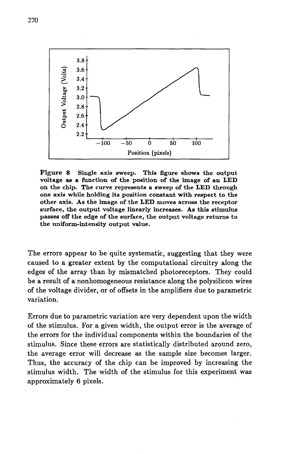

Figure 8 Single axis sweep. This figure shows the output voltage as a function of the position of the image of an LED on the chip. The curve represents a sweep of the LED through one axis while holding its position constant with respect to the other axis. As the image of the LED moves across the receptor surface, the output voltage linearly increases. As this stimulus passes off the edge of the surface, the output voltage returns to the uniform-intensity output value.

The errors appear to be quite systematic, suggesting that they were caused to a greater extent by the computational circuitry along the edges of the array than by mismatched photoreceptors. They could be a result of a nonhomogeneous resistance along the polysilicon wires of the voltage divider, or of offsets in the amplifiers due to parametric variation.

Errors due to parametric variation are very dependent upon the width of the stimulus. For a given width, the output error is the average of the errors for the individual components within the boundaries of the stimulus. Since these errors are statistically distributed around zero, the average error will decrease as the sample size becomes larger. Thus, the accuracy of the chip can be improved by increasing the stimulus width. The width of the stimulus for this experiment was approximately 6 pixels.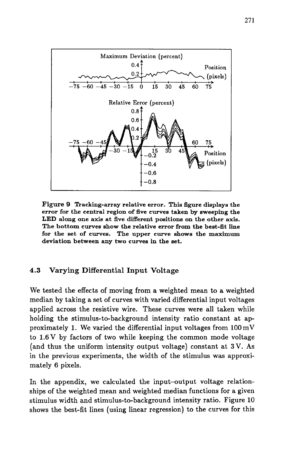

Figure 9 Tracking-array relative error. This figure displays the error for the central region of five curves taken by sweeping the **LED** along one axis at five different positions on the other axis. The bottom curves show the relative error from the best-flt line for the set of curves. The upper curve shows the maximum deviation between any two curves in the set.

#### 4.3 Varying Differential Input Voltage

We tested the effects of moving from a weighted mean to a weighted median by taking a set of curves with varied differential input voltages applied across the resistive wire. These curves were all taken while holding the stimulus-to-background intensity ratio constant at approximately 1. We varied the differential input voltages from  $100 \,\mathrm{mV}$ to 1.6 V by factors of two while keeping the common mode voltage (and thus the uniform intensity output voltage) constant at 3 V. As in the previous experiments, the width of the stimulus was approximately 6 pixels.

In the appendix, we calculated the input-output voltage relationships of the weighted mean and weighted median functions for a given stimulus width and stimulus-to-background intensity ratio. Figure 10 shows the best-fit lines (using linear regression) to the curves for this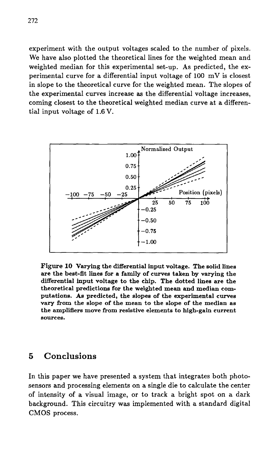experiment with the output voltages scaled to the number of pixels. We have also plotted the theoretical lines for the weighted mean and weighted median for this experimental set-up. As predicted, the experimental curve for a differential input voltage of 100 mV is closest in slope to the theoretical curve for the weighted mean. The slopes of the experimental curves increase as the differential voltage increases, coming closest to the theoretical weighted median curve at a differential input voltage of 1.6 V.



Figure 10 Varying the differential input voltage. The solid lines are the best-fit lines for a family of curves taken by varying the differential input voltage to the chip. The dotted lines are the theoretical predictions for the weighted mean and median computations. As predicted, the slopes of the experimental curves vary from the slope of the mean to the slope of the median as the amplifiers move from resistive elements to high-gain current sources.

## 5 Conclusions

In this paper we have presented a system that integrates both photosensors and processing elements on a single die to calculate the center of intensity of a visual image, or to track a bright spot on a dark background. This circuitry was implemented with a standard digital CMOS process.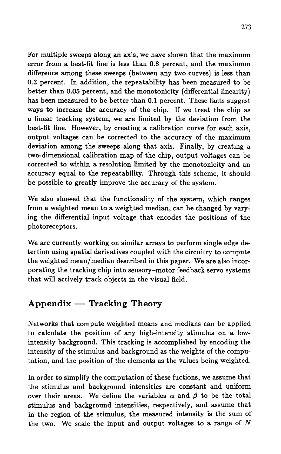For multiple sweeps along an axis, we have shown that the maximum error from a best-fit line is less than 0.8 percent, and the maximum difference among these sweeps (between any two curves) is less than 0.3 percent. In addition, the repeatability has been measured to be better than 0.05 percent, and the monotonicity (differential linearity) has been measured to be better than 0.1 percent. These facts suggest ways to increase the accuracy of the chip. If we treat the chip as a linear tracking system, we are limited by the deviation from the best-fit line. However, by creating a calibration curve for each axis, output voltages can be corrected to the accuracy of the maximum deviation among the sweeps along that axis. Finally, by creating a two-dimensional calibration map of the chip, output voltages can be corrected to within a resolution limited by the monotonicity and an accuracy equal to the repeatability. Through this scheme, it should be possible to greatly improve the accuracy of the system.

We also showed that the functionality of the system, which ranges from a weighted mean to a weighted median, can be changed by varying the differential input voltage that encodes the positions of the photoreceptors.

We are currently working on similar arrays to perform single edge detection using spatial derivatives coupled with the circuitry to compute the weighted mean/median described in this paper. We are also incorporating the tracking chip into sensory-motor feedback servo systems that will actively track objects in the visual field.

# **Appendix - Tracking Theory**

Networks that compute weighted means and medians can be applied to calculate the position of any high-intensity stimulus on a lowintensity background. This tracking is accomplished by encoding the intensity of the stimulus and background as the weights of the computation, and the position of the elements as the values being weighted.

In order to simplify the computation of these fuctions, we assume that the stimulus and background intensities are constant and uniform over their areas. We define the variables  $\alpha$  and  $\beta$  to be the total stimulus and background intensities, respectively, and assume that in the region of the stimulus, the measured intensity is the sum of the two. We scale the input and output voltages to a range of *N*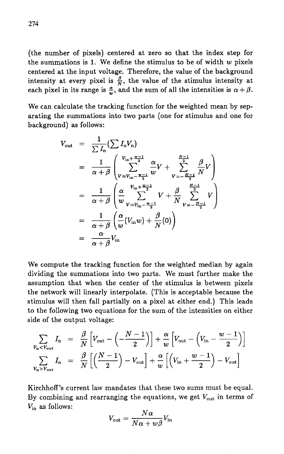(the number of pixels) centered at zero so that the index step for the summations is 1. We define the stimulus to be of width  $w$  pixels centered at the input voltage. Therefore, the value of the background intensity at every pixel is  $\frac{\beta}{N}$ , the value of the stimulus intensity at each pixel in its range is  $\frac{\alpha}{w}$ , and the sum of all the intensities is  $\alpha + \beta$ .

We can calculate the tracking function for the weighted mean by separating the summations into two parts (one for stimulus and one for background) as follows:

$$
V_{\text{out}} = \frac{1}{\sum I_{\text{n}}} (\sum I_{\text{n}} V_{\text{n}})
$$
  
\n
$$
= \frac{1}{\alpha + \beta} \left( \sum_{V=V_{\text{in}} - \frac{w-1}{2}}^{V_{\text{in}} + \frac{w-1}{2}} \frac{\alpha}{w} V + \sum_{V=-\frac{N-1}{2}}^{\frac{N-1}{2}} \frac{\beta}{N} V \right)
$$
  
\n
$$
= \frac{1}{\alpha + \beta} \left( \frac{\alpha}{w} \sum_{V=V_{\text{in}} - \frac{w-1}{2}}^{V_{\text{in}} + \frac{w-1}{2}} V + \frac{\beta}{N} \sum_{V=-\frac{N-1}{2}}^{\frac{N-1}{2}} V \right)
$$
  
\n
$$
= \frac{1}{\alpha + \beta} \left( \frac{\alpha}{w} (V_{\text{in}} w) + \frac{\beta}{N} (0) \right)
$$
  
\n
$$
= \frac{\alpha}{\alpha + \beta} V_{\text{in}}
$$

We compute the tracking function for the weighted median by again dividing the summations into two parts. We must further make the assumption that when the center of the stimulus is between pixels the network will linearly interpolate. (This is acceptable because the stimulus will then fall partially on a pixel at either end.) This leads to the following two equations for the sum of the intensities on either side of the output voltage:

$$
\sum_{V_{\rm n} < V_{\rm out}} I_{\rm n} = \frac{\beta}{N} \left[ V_{\rm out} - \left( -\frac{N-1}{2} \right) \right] + \frac{\alpha}{w} \left[ V_{\rm out} - \left( V_{\rm in} - \frac{w-1}{2} \right) \right]
$$
\n
$$
\sum_{V_{\rm n} > V_{\rm out}} I_{\rm n} = \frac{\beta}{N} \left[ \left( \frac{N-1}{2} \right) - V_{\rm out} \right] + \frac{\alpha}{w} \left[ \left( V_{\rm in} + \frac{w-1}{2} \right) - V_{\rm out} \right]
$$

Kirchhoff's current law mandates that these two sums must be equal. By combining and rearranging the equations, we get  $V_{\text{out}}$  in terms of  $V_{\text{in}}$  as follows:

$$
V_{\rm out}=\frac{N\alpha}{N\alpha+w\beta}V_{\rm in}
$$